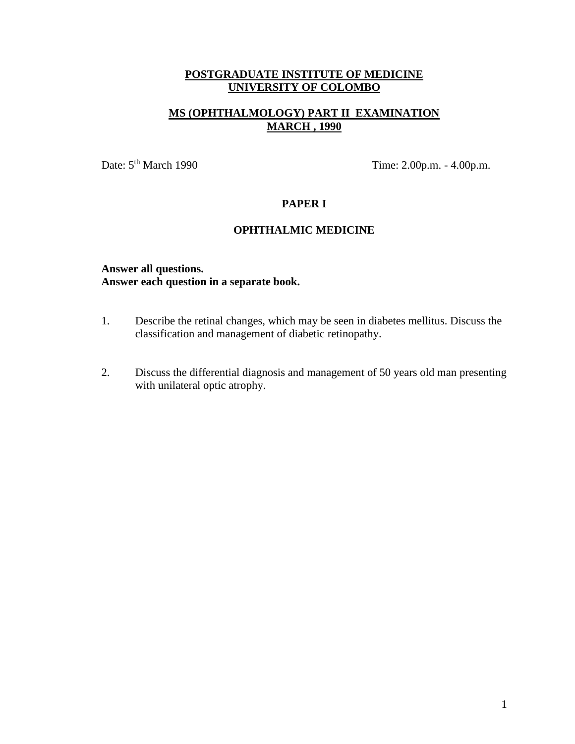# **MS (OPHTHALMOLOGY) PART II EXAMINATION MARCH , 1990**

Date: 5<sup>th</sup> March 1990 Time: 2.00p.m. - 4.00p.m.

## **PAPER I**

## **OPHTHALMIC MEDICINE**

### **Answer all questions. Answer each question in a separate book.**

- 1. Describe the retinal changes, which may be seen in diabetes mellitus. Discuss the classification and management of diabetic retinopathy.
- 2. Discuss the differential diagnosis and management of 50 years old man presenting with unilateral optic atrophy.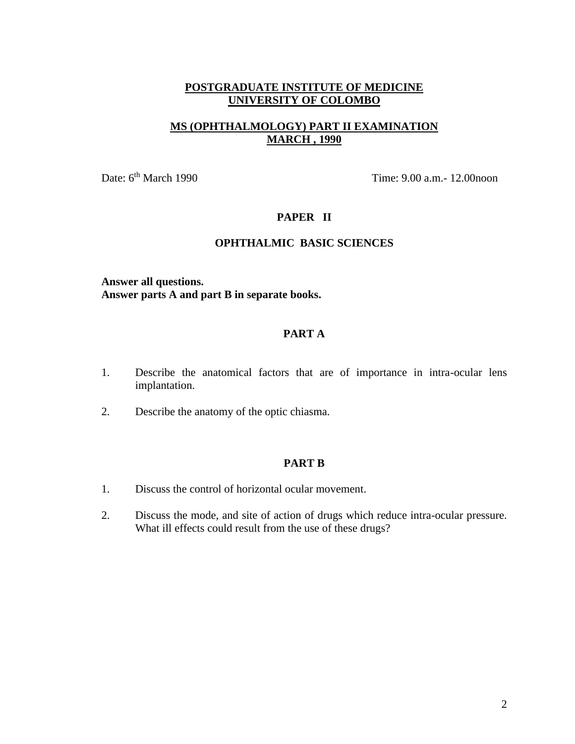# **MS (OPHTHALMOLOGY) PART II EXAMINATION MARCH , 1990**

Date: 6<sup>th</sup> March 1990 Time: 9.00 a.m. - 12.00noon

## **PAPER II**

## **OPHTHALMIC BASIC SCIENCES**

**Answer all questions. Answer parts A and part B in separate books.**

## **PART A**

- 1. Describe the anatomical factors that are of importance in intra-ocular lens implantation.
- 2. Describe the anatomy of the optic chiasma.

### **PART B**

- 1. Discuss the control of horizontal ocular movement.
- 2. Discuss the mode, and site of action of drugs which reduce intra-ocular pressure. What ill effects could result from the use of these drugs?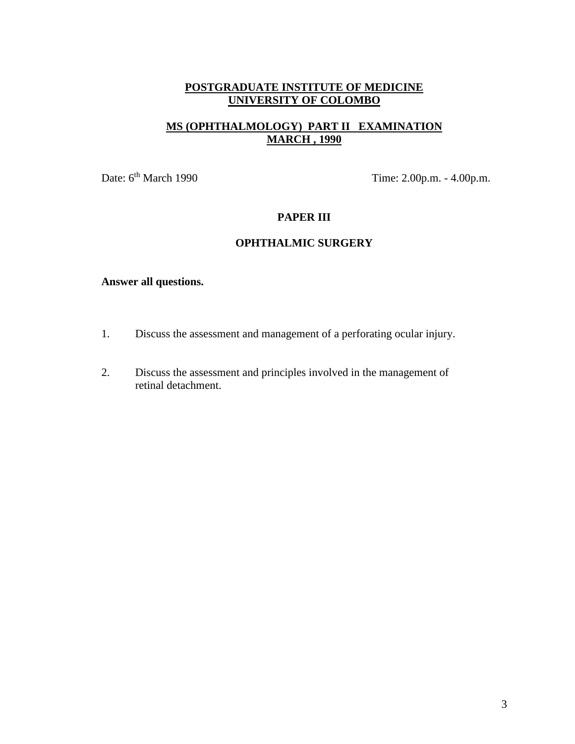# **MS (OPHTHALMOLOGY) PART II EXAMINATION MARCH , 1990**

Date: 6<sup>th</sup> March 1990 Time: 2.00p.m. - 4.00p.m.

# **PAPER III**

# **OPHTHALMIC SURGERY**

- 1. Discuss the assessment and management of a perforating ocular injury.
- 2. Discuss the assessment and principles involved in the management of retinal detachment.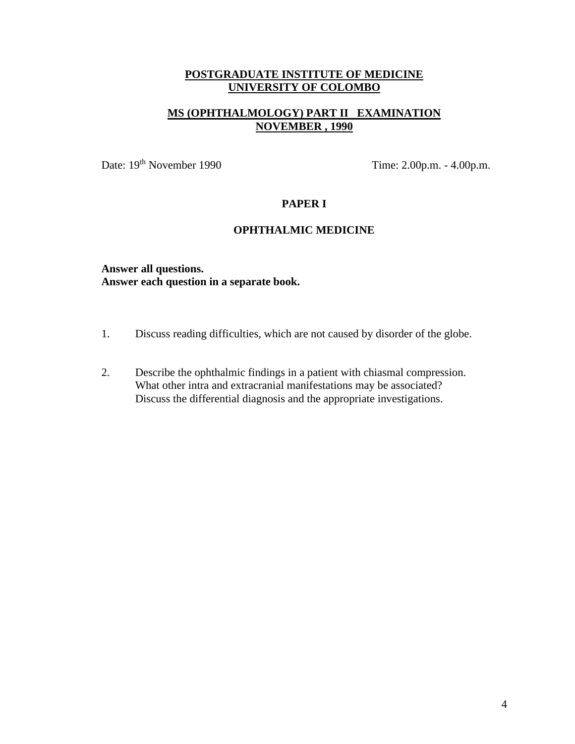# **MS (OPHTHALMOLOGY) PART II EXAMINATION NOVEMBER , 1990**

Date: 19<sup>th</sup> November 1990 Time: 2.00p.m. - 4.00p.m.

## **PAPER I**

# **OPHTHALMIC MEDICINE**

**Answer all questions. Answer each question in a separate book.**

- 1. Discuss reading difficulties, which are not caused by disorder of the globe.
- 2. Describe the ophthalmic findings in a patient with chiasmal compression. What other intra and extracranial manifestations may be associated? Discuss the differential diagnosis and the appropriate investigations.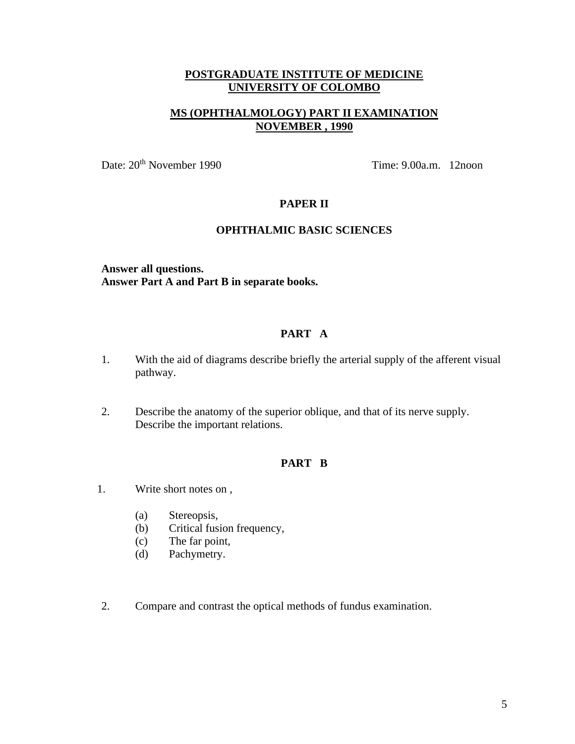# **MS (OPHTHALMOLOGY) PART II EXAMINATION NOVEMBER , 1990**

Date:  $20<sup>th</sup>$  November 1990 Time: 9.00a.m. 12noon

## **PAPER II**

# **OPHTHALMIC BASIC SCIENCES**

**Answer all questions. Answer Part A and Part B in separate books.**

## **PART A**

- 1. With the aid of diagrams describe briefly the arterial supply of the afferent visual pathway.
- 2. Describe the anatomy of the superior oblique, and that of its nerve supply. Describe the important relations.

#### **PART B**

- 1. Write short notes on ,
	- (a) Stereopsis,
	- (b) Critical fusion frequency,
	- (c) The far point,
	- (d) Pachymetry.
- 2. Compare and contrast the optical methods of fundus examination.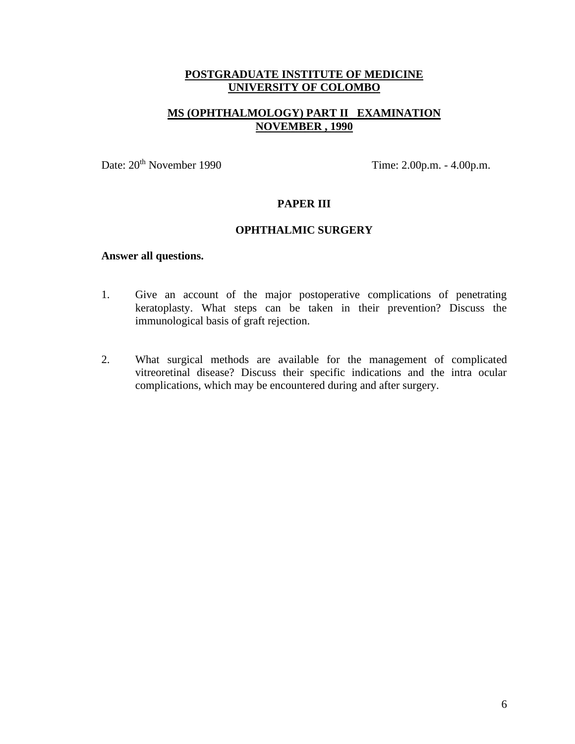# **MS (OPHTHALMOLOGY) PART II EXAMINATION NOVEMBER , 1990**

Date:  $20^{\text{th}}$  November 1990 Time:  $2.00$ p.m. -  $4.00$ p.m.

## **PAPER III**

#### **OPHTHALMIC SURGERY**

- 1. Give an account of the major postoperative complications of penetrating keratoplasty. What steps can be taken in their prevention? Discuss the immunological basis of graft rejection.
- 2. What surgical methods are available for the management of complicated vitreoretinal disease? Discuss their specific indications and the intra ocular complications, which may be encountered during and after surgery.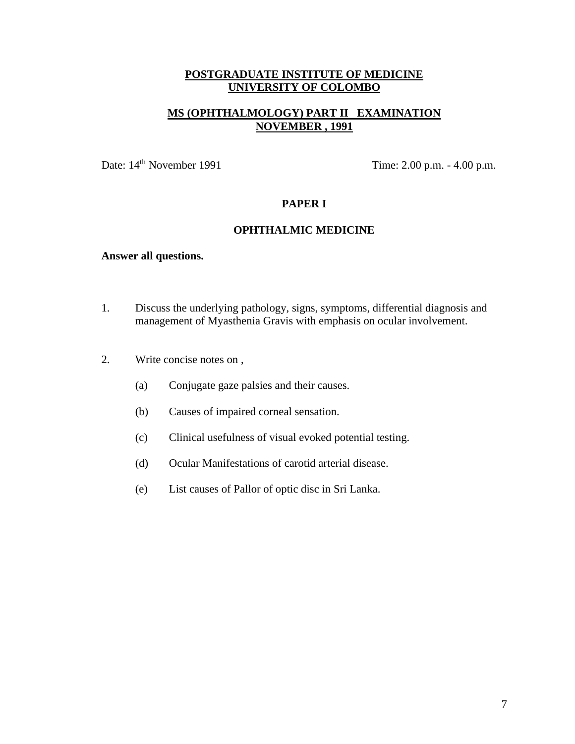# **MS (OPHTHALMOLOGY) PART II EXAMINATION NOVEMBER , 1991**

Date: 14<sup>th</sup> November 1991 Time: 2.00 p.m. - 4.00 p.m.

## **PAPER I**

#### **OPHTHALMIC MEDICINE**

- 1. Discuss the underlying pathology, signs, symptoms, differential diagnosis and management of Myasthenia Gravis with emphasis on ocular involvement.
- 2. Write concise notes on ,
	- (a) Conjugate gaze palsies and their causes.
	- (b) Causes of impaired corneal sensation.
	- (c) Clinical usefulness of visual evoked potential testing.
	- (d) Ocular Manifestations of carotid arterial disease.
	- (e) List causes of Pallor of optic disc in Sri Lanka.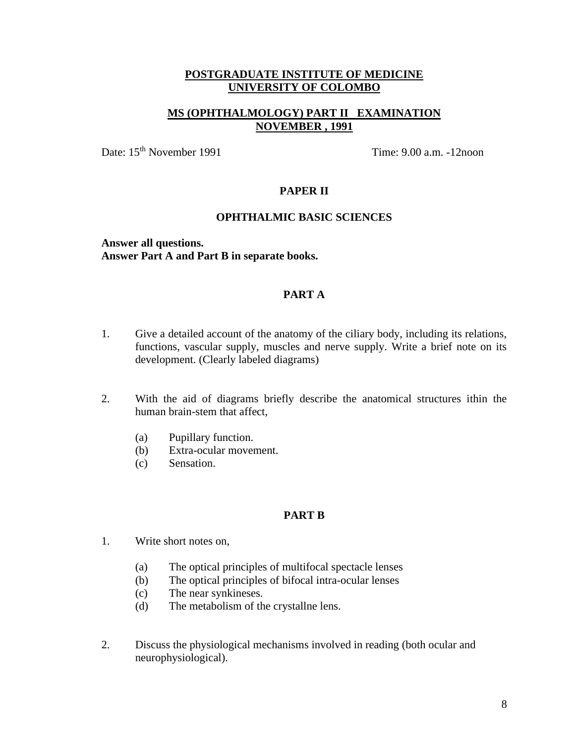# **MS (OPHTHALMOLOGY) PART II EXAMINATION NOVEMBER , 1991**

Date: 15<sup>th</sup> November 1991 Time: 9.00 a.m. -12noon

#### **PAPER II**

#### **OPHTHALMIC BASIC SCIENCES**

**Answer all questions. Answer Part A and Part B in separate books.**

#### **PART A**

- 1. Give a detailed account of the anatomy of the ciliary body, including its relations, functions, vascular supply, muscles and nerve supply. Write a brief note on its development. (Clearly labeled diagrams)
- 2. With the aid of diagrams briefly describe the anatomical structures ithin the human brain-stem that affect,
	- (a) Pupillary function.
	- (b) Extra-ocular movement.
	- (c) Sensation.

### **PART B**

- 1. Write short notes on,
	- (a) The optical principles of multifocal spectacle lenses
	- (b) The optical principles of bifocal intra-ocular lenses
	- (c) The near synkineses.
	- (d) The metabolism of the crystallne lens.
- 2. Discuss the physiological mechanisms involved in reading (both ocular and neurophysiological).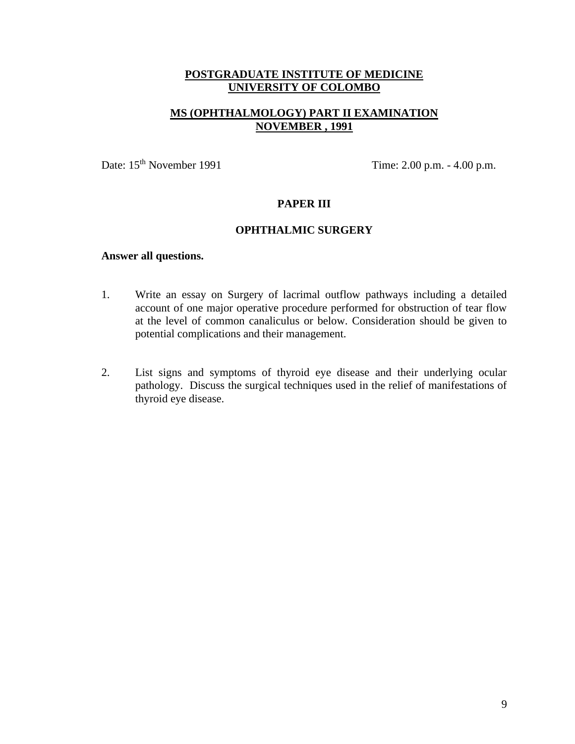# **MS (OPHTHALMOLOGY) PART II EXAMINATION NOVEMBER , 1991**

Date: 15<sup>th</sup> November 1991 Time: 2.00 p.m. - 4.00 p.m.

## **PAPER III**

#### **OPHTHALMIC SURGERY**

- 1. Write an essay on Surgery of lacrimal outflow pathways including a detailed account of one major operative procedure performed for obstruction of tear flow at the level of common canaliculus or below. Consideration should be given to potential complications and their management.
- 2. List signs and symptoms of thyroid eye disease and their underlying ocular pathology. Discuss the surgical techniques used in the relief of manifestations of thyroid eye disease.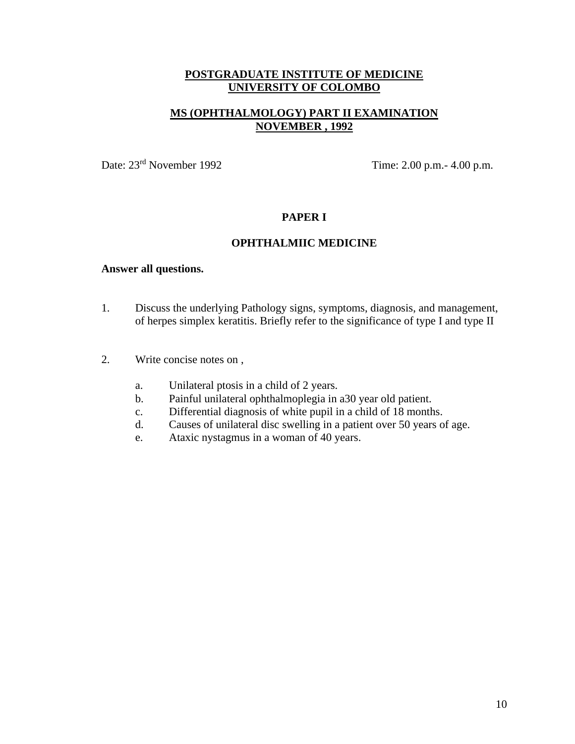# **MS (OPHTHALMOLOGY) PART II EXAMINATION NOVEMBER , 1992**

Date: 23rd November 1992 Time: 2.00 p.m.- 4.00 p.m.

### **PAPER I**

#### **OPHTHALMIIC MEDICINE**

- 1. Discuss the underlying Pathology signs, symptoms, diagnosis, and management, of herpes simplex keratitis. Briefly refer to the significance of type I and type II
- 2. Write concise notes on ,
	- a. Unilateral ptosis in a child of 2 years.
	- b. Painful unilateral ophthalmoplegia in a30 year old patient.
	- c. Differential diagnosis of white pupil in a child of 18 months.
	- d. Causes of unilateral disc swelling in a patient over 50 years of age.
	- e. Ataxic nystagmus in a woman of 40 years.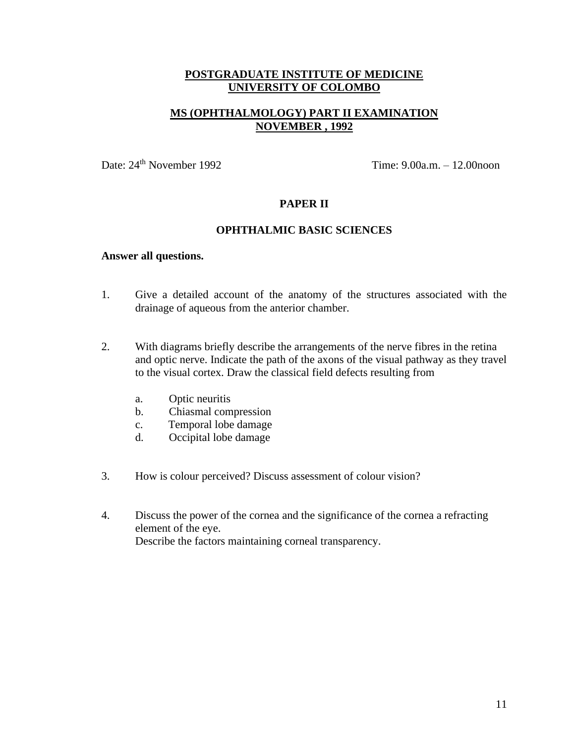# **MS (OPHTHALMOLOGY) PART II EXAMINATION NOVEMBER , 1992**

Date: 24<sup>th</sup> November 1992 Time: 9.00a.m. – 12.00noon

## **PAPER II**

#### **OPHTHALMIC BASIC SCIENCES**

- 1. Give a detailed account of the anatomy of the structures associated with the drainage of aqueous from the anterior chamber.
- 2. With diagrams briefly describe the arrangements of the nerve fibres in the retina and optic nerve. Indicate the path of the axons of the visual pathway as they travel to the visual cortex. Draw the classical field defects resulting from
	- a. Optic neuritis
	- b. Chiasmal compression
	- c. Temporal lobe damage
	- d. Occipital lobe damage
- 3. How is colour perceived? Discuss assessment of colour vision?
- 4. Discuss the power of the cornea and the significance of the cornea a refracting element of the eye. Describe the factors maintaining corneal transparency.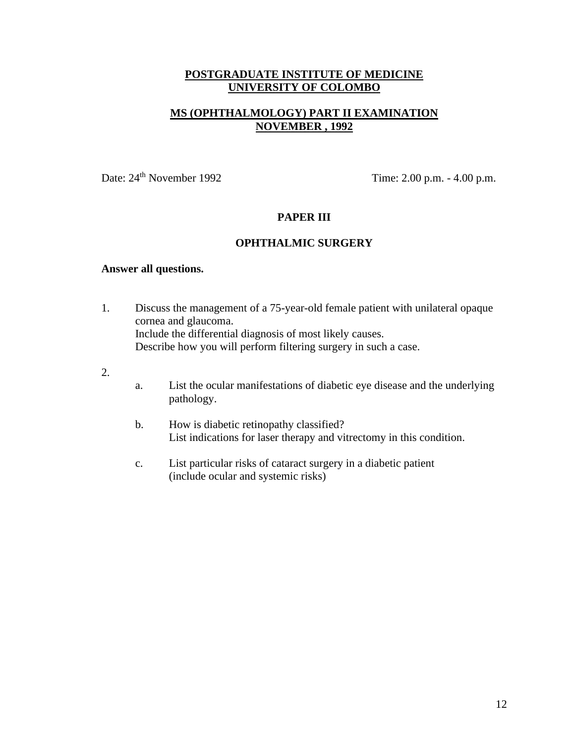# **MS (OPHTHALMOLOGY) PART II EXAMINATION NOVEMBER , 1992**

Date:  $24<sup>th</sup>$  November 1992 Time:  $2.00$  p.m. -  $4.00$  p.m.

## **PAPER III**

#### **OPHTHALMIC SURGERY**

- 1. Discuss the management of a 75-year-old female patient with unilateral opaque cornea and glaucoma. Include the differential diagnosis of most likely causes. Describe how you will perform filtering surgery in such a case.
- 2.
- a. List the ocular manifestations of diabetic eye disease and the underlying pathology.
- b. How is diabetic retinopathy classified? List indications for laser therapy and vitrectomy in this condition.
- c. List particular risks of cataract surgery in a diabetic patient (include ocular and systemic risks)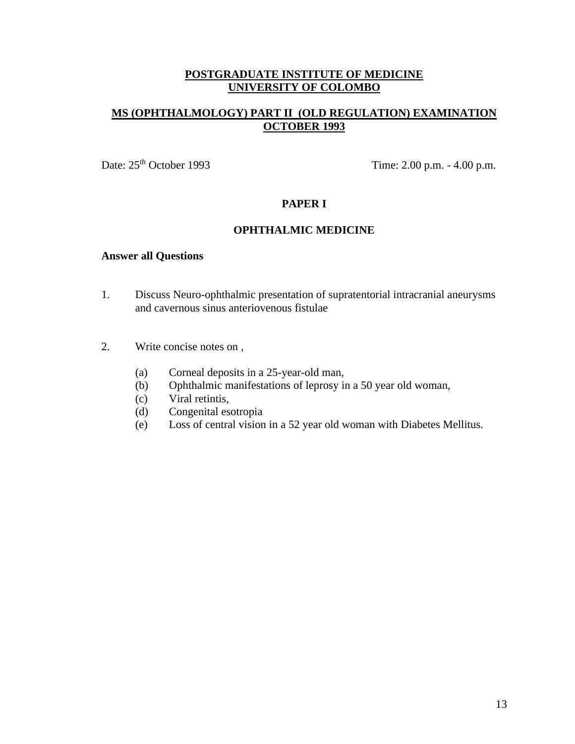# **MS (OPHTHALMOLOGY) PART II (OLD REGULATION) EXAMINATION OCTOBER 1993**

Date:  $25<sup>th</sup> October 1993$  Time:  $2.00$  p.m. -  $4.00$  p.m.

# **PAPER I**

#### **OPHTHALMIC MEDICINE**

- 1. Discuss Neuro-ophthalmic presentation of supratentorial intracranial aneurysms and cavernous sinus anteriovenous fistulae
- 2. Write concise notes on ,
	- (a) Corneal deposits in a 25-year-old man,
	- (b) Ophthalmic manifestations of leprosy in a 50 year old woman,
	- (c) Viral retintis,
	- (d) Congenital esotropia
	- (e) Loss of central vision in a 52 year old woman with Diabetes Mellitus.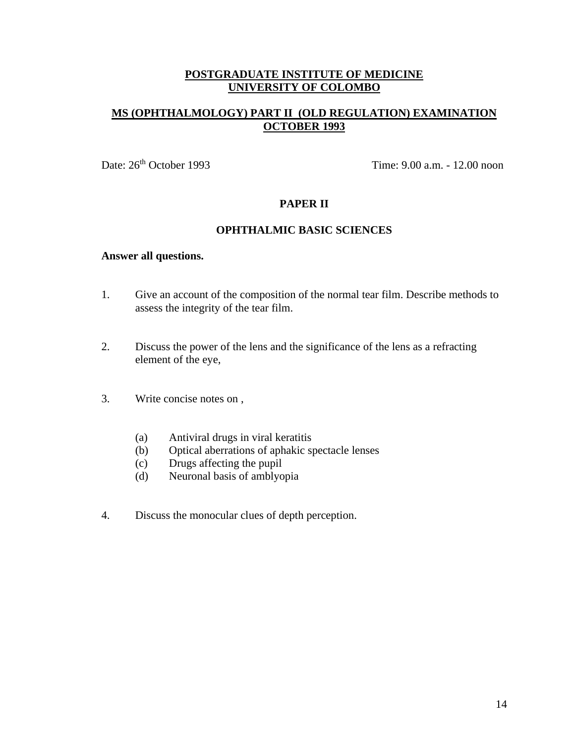# **MS (OPHTHALMOLOGY) PART II (OLD REGULATION) EXAMINATION OCTOBER 1993**

Date: 26th October 1993 Time: 9.00 a.m. - 12.00 noon

## **PAPER II**

#### **OPHTHALMIC BASIC SCIENCES**

- 1. Give an account of the composition of the normal tear film. Describe methods to assess the integrity of the tear film.
- 2. Discuss the power of the lens and the significance of the lens as a refracting element of the eye,
- 3. Write concise notes on ,
	- (a) Antiviral drugs in viral keratitis
	- (b) Optical aberrations of aphakic spectacle lenses
	- (c) Drugs affecting the pupil
	- (d) Neuronal basis of amblyopia
- 4. Discuss the monocular clues of depth perception.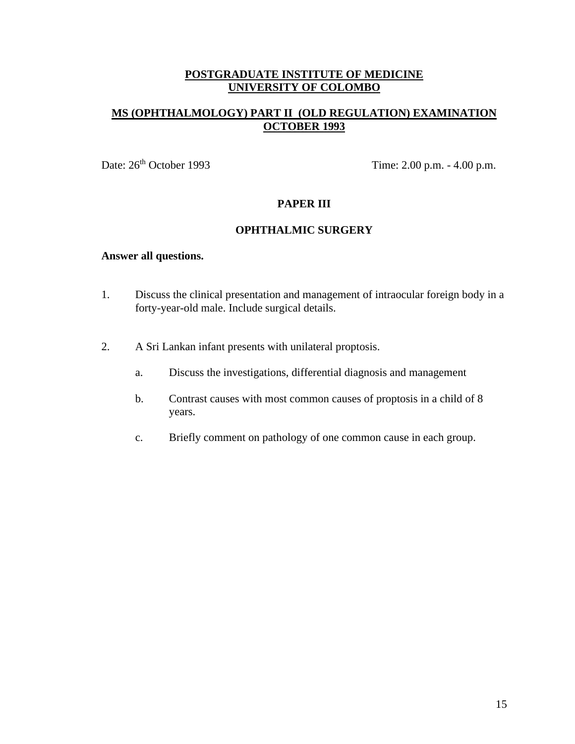# **MS (OPHTHALMOLOGY) PART II (OLD REGULATION) EXAMINATION OCTOBER 1993**

Date:  $26<sup>th</sup> October 1993$  Time:  $2.00$  p.m. -  $4.00$  p.m.

## **PAPER III**

#### **OPHTHALMIC SURGERY**

- 1. Discuss the clinical presentation and management of intraocular foreign body in a forty-year-old male. Include surgical details.
- 2. A Sri Lankan infant presents with unilateral proptosis.
	- a. Discuss the investigations, differential diagnosis and management
	- b. Contrast causes with most common causes of proptosis in a child of 8 years.
	- c. Briefly comment on pathology of one common cause in each group.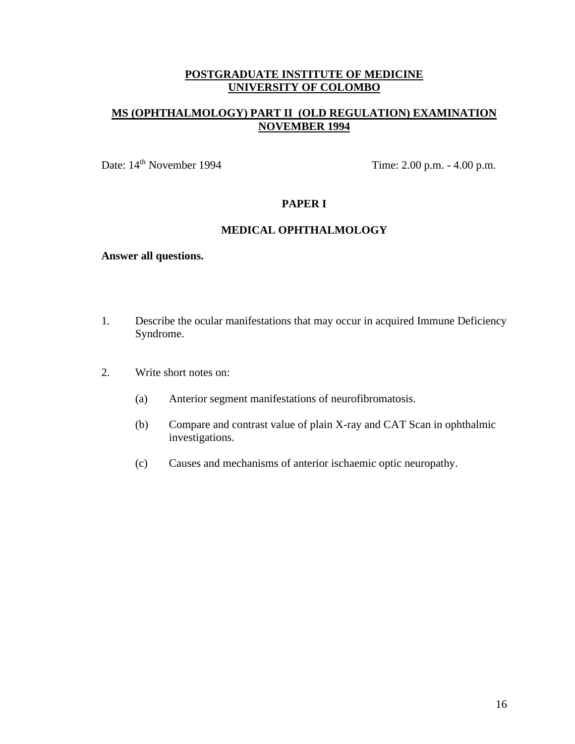# **MS (OPHTHALMOLOGY) PART II (OLD REGULATION) EXAMINATION NOVEMBER 1994**

Date: 14<sup>th</sup> November 1994 Time: 2.00 p.m. - 4.00 p.m.

## **PAPER I**

#### **MEDICAL OPHTHALMOLOGY**

- 1. Describe the ocular manifestations that may occur in acquired Immune Deficiency Syndrome.
- 2. Write short notes on:
	- (a) Anterior segment manifestations of neurofibromatosis.
	- (b) Compare and contrast value of plain X-ray and CAT Scan in ophthalmic investigations.
	- (c) Causes and mechanisms of anterior ischaemic optic neuropathy.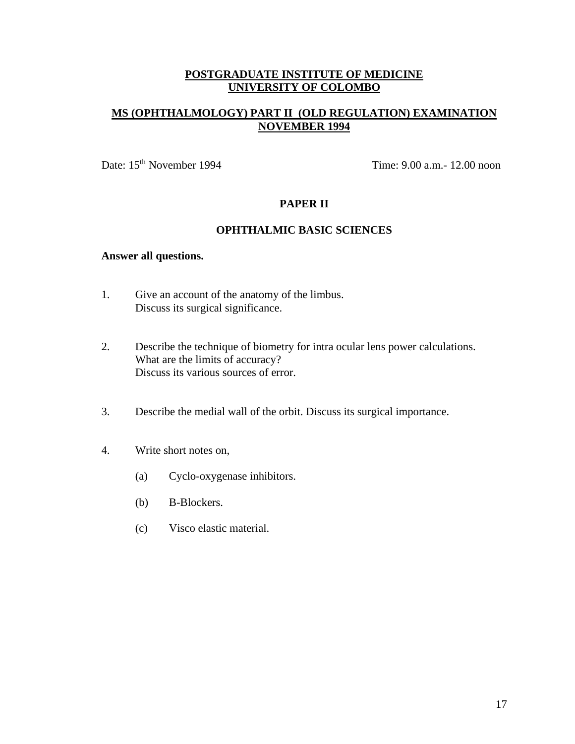# **MS (OPHTHALMOLOGY) PART II (OLD REGULATION) EXAMINATION NOVEMBER 1994**

Date: 15<sup>th</sup> November 1994 Time: 9.00 a.m.- 12.00 noon

## **PAPER II**

#### **OPHTHALMIC BASIC SCIENCES**

- 1. Give an account of the anatomy of the limbus. Discuss its surgical significance.
- 2. Describe the technique of biometry for intra ocular lens power calculations. What are the limits of accuracy? Discuss its various sources of error.
- 3. Describe the medial wall of the orbit. Discuss its surgical importance.
- 4. Write short notes on,
	- (a) Cyclo-oxygenase inhibitors.
	- (b) B-Blockers.
	- (c) Visco elastic material.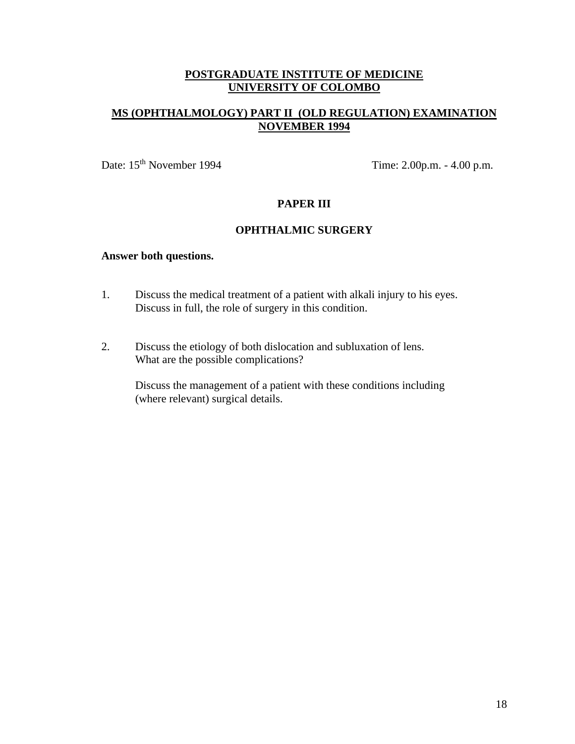# **MS (OPHTHALMOLOGY) PART II (OLD REGULATION) EXAMINATION NOVEMBER 1994**

Date: 15<sup>th</sup> November 1994 Time: 2.00p.m. - 4.00 p.m.

# **PAPER III**

#### **OPHTHALMIC SURGERY**

#### **Answer both questions.**

- 1. Discuss the medical treatment of a patient with alkali injury to his eyes. Discuss in full, the role of surgery in this condition.
- 2. Discuss the etiology of both dislocation and subluxation of lens. What are the possible complications?

Discuss the management of a patient with these conditions including (where relevant) surgical details.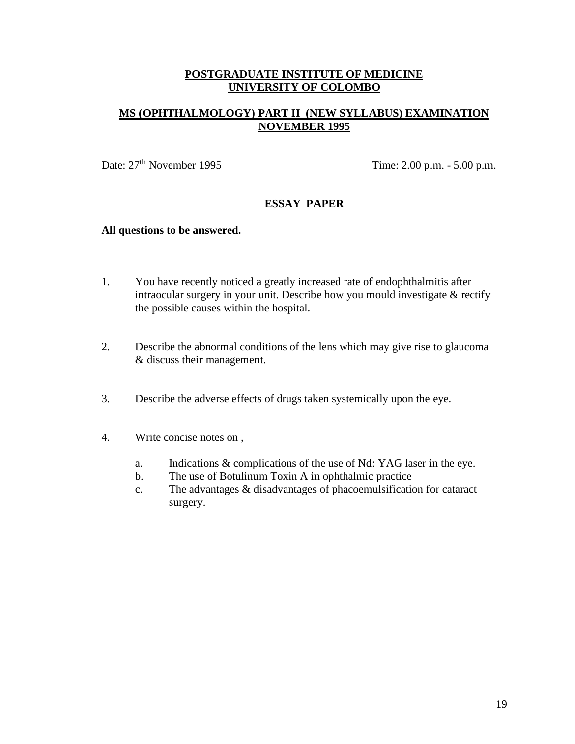# **MS (OPHTHALMOLOGY) PART II (NEW SYLLABUS) EXAMINATION NOVEMBER 1995**

Date:  $27<sup>th</sup>$  November 1995 Time: 2.00 p.m. - 5.00 p.m.

## **ESSAY PAPER**

#### **All questions to be answered.**

- 1. You have recently noticed a greatly increased rate of endophthalmitis after intraocular surgery in your unit. Describe how you mould investigate & rectify the possible causes within the hospital.
- 2. Describe the abnormal conditions of the lens which may give rise to glaucoma & discuss their management.
- 3. Describe the adverse effects of drugs taken systemically upon the eye.
- 4. Write concise notes on ,
	- a. Indications & complications of the use of Nd: YAG laser in the eye.
	- b. The use of Botulinum Toxin A in ophthalmic practice
	- c. The advantages & disadvantages of phacoemulsification for cataract surgery.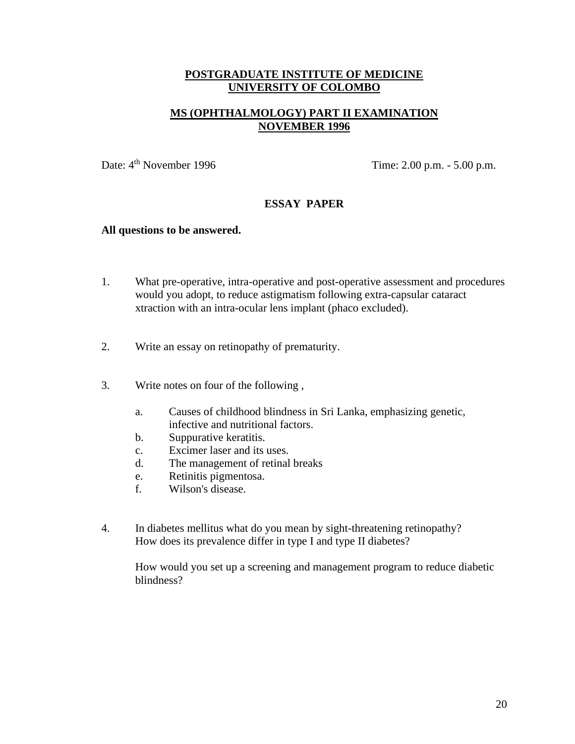# **MS (OPHTHALMOLOGY) PART II EXAMINATION NOVEMBER 1996**

Date:  $4^{\text{th}}$  November 1996 Time: 2.00 p.m. - 5.00 p.m.

## **ESSAY PAPER**

#### **All questions to be answered.**

- 1. What pre-operative, intra-operative and post-operative assessment and procedures would you adopt, to reduce astigmatism following extra-capsular cataract xtraction with an intra-ocular lens implant (phaco excluded).
- 2. Write an essay on retinopathy of prematurity.
- 3. Write notes on four of the following ,
	- a. Causes of childhood blindness in Sri Lanka, emphasizing genetic, infective and nutritional factors.
	- b. Suppurative keratitis.
	- c. Excimer laser and its uses.
	- d. The management of retinal breaks
	- e. Retinitis pigmentosa.
	- f. Wilson's disease.
- 4. In diabetes mellitus what do you mean by sight-threatening retinopathy? How does its prevalence differ in type I and type II diabetes?

How would you set up a screening and management program to reduce diabetic blindness?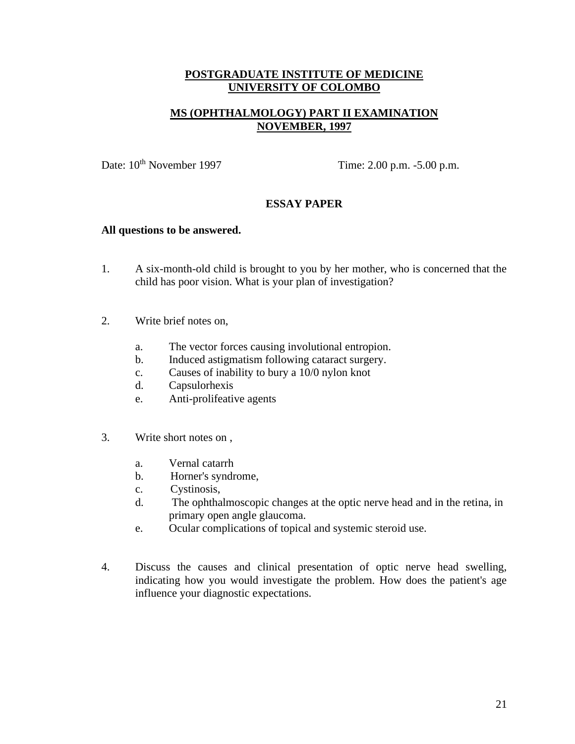# **MS (OPHTHALMOLOGY) PART II EXAMINATION NOVEMBER, 1997**

Date: 10<sup>th</sup> November 1997 Time: 2.00 p.m. -5.00 p.m.

# **ESSAY PAPER**

#### **All questions to be answered.**

- 1. A six-month-old child is brought to you by her mother, who is concerned that the child has poor vision. What is your plan of investigation?
- 2. Write brief notes on,
	- a. The vector forces causing involutional entropion.
	- b. Induced astigmatism following cataract surgery.
	- c. Causes of inability to bury a 10/0 nylon knot
	- d. Capsulorhexis
	- e. Anti-prolifeative agents
- 3. Write short notes on ,
	- a. Vernal catarrh
	- b. Horner's syndrome,
	- c. Cystinosis,
	- d. The ophthalmoscopic changes at the optic nerve head and in the retina, in primary open angle glaucoma.
	- e. Ocular complications of topical and systemic steroid use.
- 4. Discuss the causes and clinical presentation of optic nerve head swelling, indicating how you would investigate the problem. How does the patient's age influence your diagnostic expectations.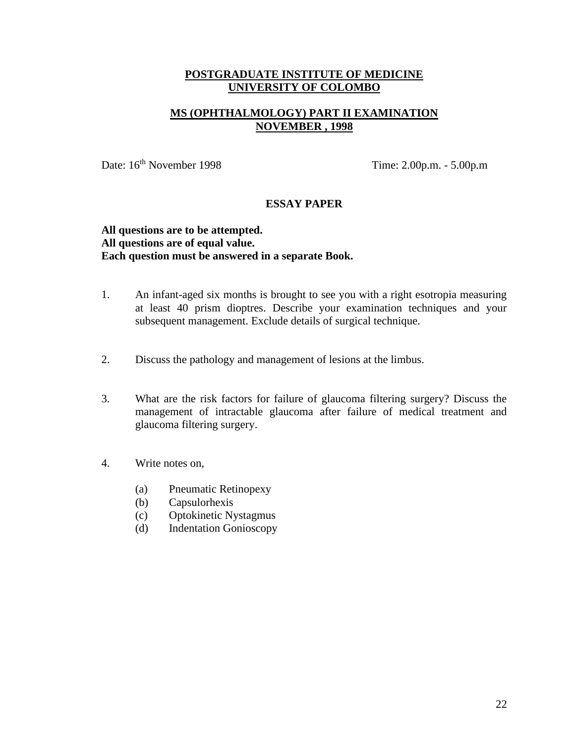# **MS (OPHTHALMOLOGY) PART II EXAMINATION NOVEMBER , 1998**

Date: 16<sup>th</sup> November 1998 Time: 2.00p.m. - 5.00p.m

### **ESSAY PAPER**

### **All questions are to be attempted. All questions are of equal value. Each question must be answered in a separate Book.**

- 1. An infant-aged six months is brought to see you with a right esotropia measuring at least 40 prism dioptres. Describe your examination techniques and your subsequent management. Exclude details of surgical technique.
- 2. Discuss the pathology and management of lesions at the limbus.
- 3. What are the risk factors for failure of glaucoma filtering surgery? Discuss the management of intractable glaucoma after failure of medical treatment and glaucoma filtering surgery.
- 4. Write notes on,
	- (a) Pneumatic Retinopexy
	- (b) Capsulorhexis
	- (c) Optokinetic Nystagmus
	- (d) Indentation Gonioscopy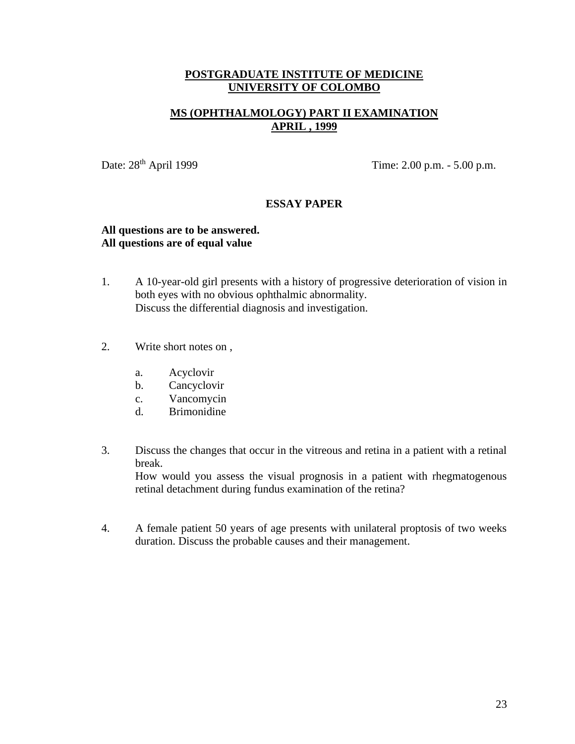# **MS (OPHTHALMOLOGY) PART II EXAMINATION APRIL , 1999**

Date:  $28<sup>th</sup>$  April 1999 Time:  $2.00$  p.m. -  $5.00$  p.m.

### **ESSAY PAPER**

#### **All questions are to be answered. All questions are of equal value**

- 1. A 10-year-old girl presents with a history of progressive deterioration of vision in both eyes with no obvious ophthalmic abnormality. Discuss the differential diagnosis and investigation.
- 2. Write short notes on ,
	- a. Acyclovir
	- b. Cancyclovir
	- c. Vancomycin
	- d. Brimonidine
- 3. Discuss the changes that occur in the vitreous and retina in a patient with a retinal break.

How would you assess the visual prognosis in a patient with rhegmatogenous retinal detachment during fundus examination of the retina?

4. A female patient 50 years of age presents with unilateral proptosis of two weeks duration. Discuss the probable causes and their management.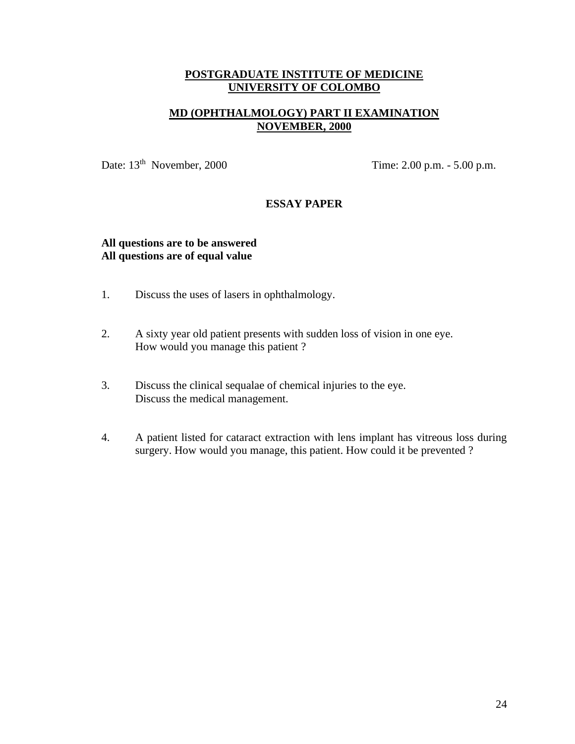# **MD (OPHTHALMOLOGY) PART II EXAMINATION NOVEMBER, 2000**

Date: 13<sup>th</sup> November, 2000 Time: 2.00 p.m. - 5.00 p.m.

## **ESSAY PAPER**

## **All questions are to be answered All questions are of equal value**

- 1. Discuss the uses of lasers in ophthalmology.
- 2. A sixty year old patient presents with sudden loss of vision in one eye. How would you manage this patient ?
- 3. Discuss the clinical sequalae of chemical injuries to the eye. Discuss the medical management.
- 4. A patient listed for cataract extraction with lens implant has vitreous loss during surgery. How would you manage, this patient. How could it be prevented ?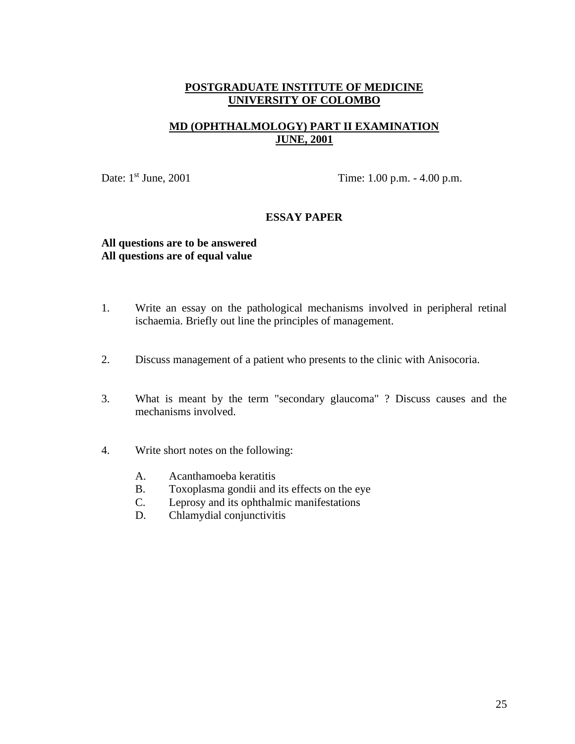# **MD (OPHTHALMOLOGY) PART II EXAMINATION JUNE, 2001**

Date: 1<sup>st</sup> June, 2001

Time: 1.00 p.m. - 4.00 p.m.

## **ESSAY PAPER**

## **All questions are to be answered All questions are of equal value**

- 1. Write an essay on the pathological mechanisms involved in peripheral retinal ischaemia. Briefly out line the principles of management.
- 2. Discuss management of a patient who presents to the clinic with Anisocoria.
- 3. What is meant by the term "secondary glaucoma" ? Discuss causes and the mechanisms involved.
- 4. Write short notes on the following:
	- A. Acanthamoeba keratitis
	- B. Toxoplasma gondii and its effects on the eye
	- C. Leprosy and its ophthalmic manifestations
	- D. Chlamydial conjunctivitis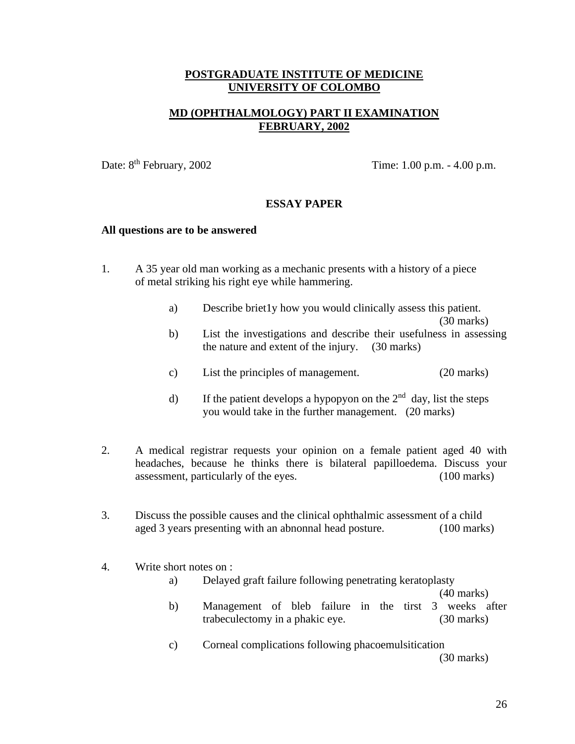# **MD (OPHTHALMOLOGY) PART II EXAMINATION FEBRUARY, 2002**

Date: 8<sup>th</sup> February, 2002

Time:  $1.00$  p.m.  $- 4.00$  p.m.

## **ESSAY PAPER**

#### **All questions are to be answered**

- 1. A 35 year old man working as a mechanic presents with a history of a piece of metal striking his right eye while hammering.
	- a) Describe briet1y how you would clinically assess this patient.

(30 marks)

- b) List the investigations and describe their usefulness in assessing the nature and extent of the injury. (30 marks)
- c) List the principles of management. (20 marks)
- d) If the patient develops a hypopyon on the  $2<sup>nd</sup>$  day, list the steps you would take in the further management. (20 marks)
- 2. A medical registrar requests your opinion on a female patient aged 40 with headaches, because he thinks there is bilateral papilloedema. Discuss your assessment, particularly of the eyes. (100 marks)
- 3. Discuss the possible causes and the clinical ophthalmic assessment of a child aged 3 years presenting with an abnonnal head posture. (100 marks)

### 4. Write short notes on :

a) Delayed graft failure following penetrating keratoplasty

(40 marks)

- b) Management of bleb failure in the tirst 3 weeks after trabeculectomy in a phakic eye. (30 marks)
- c) Corneal complications following phacoemulsitication (30 marks)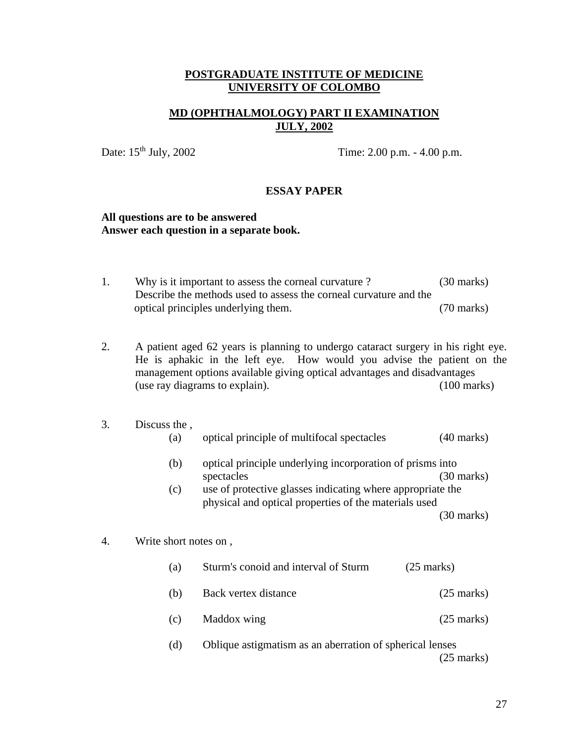# **MD (OPHTHALMOLOGY) PART II EXAMINATION JULY, 2002**

Date: 15<sup>th</sup> July, 2002 Time: 2.00 p.m. - 4.00 p.m.

#### **ESSAY PAPER**

#### **All questions are to be answered Answer each question in a separate book.**

| Why is it important to assess the corneal curvature?              | $(30 \text{ marks})$ |
|-------------------------------------------------------------------|----------------------|
| Describe the methods used to assess the corneal curvature and the |                      |
| optical principles underlying them.                               | $(70 \text{ marks})$ |

2. A patient aged 62 years is planning to undergo cataract surgery in his right eye. He is aphakic in the left eye. How would you advise the patient on the management options available giving optical advantages and disadvantages (use ray diagrams to explain). (100 marks)

#### 3. Discuss the ,

| $\left( a\right)$ |  |  | optical principle of multifocal spectacles | $(40 \text{ marks})$ |
|-------------------|--|--|--------------------------------------------|----------------------|
|-------------------|--|--|--------------------------------------------|----------------------|

- (b) optical principle underlying incorporation of prisms into spectacles (30 marks)
- (c) use of protective glasses indicating where appropriate the physical and optical properties of the materials used (30 marks)

#### 4. Write short notes on ,

| (a) | Sturm's conoid and interval of Sturm                     | $(25 \text{ marks})$ |
|-----|----------------------------------------------------------|----------------------|
| (b) | Back vertex distance                                     | $(25 \text{ marks})$ |
| (c) | Maddox wing                                              | $(25 \text{ marks})$ |
| (d) | Oblique astigmatism as an aberration of spherical lenses |                      |

(25 marks)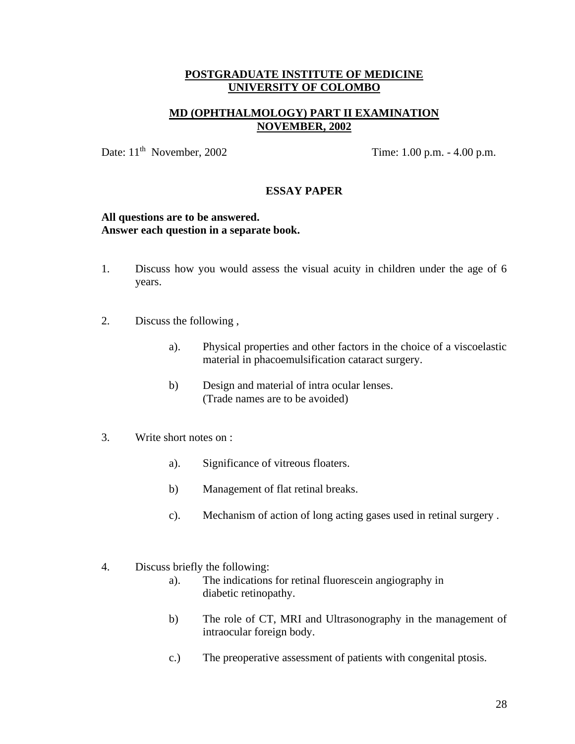# **MD (OPHTHALMOLOGY) PART II EXAMINATION NOVEMBER, 2002**

Date: 11<sup>th</sup> November, 2002

Time:  $1.00$  p.m.  $- 4.00$  p.m.

#### **ESSAY PAPER**

#### **All questions are to be answered. Answer each question in a separate book.**

- 1. Discuss how you would assess the visual acuity in children under the age of 6 years.
- 2. Discuss the following ,
	- a). Physical properties and other factors in the choice of a viscoelastic material in phacoemulsification cataract surgery.
	- b) Design and material of intra ocular lenses. (Trade names are to be avoided)
- 3. Write short notes on :
	- a). Significance of vitreous floaters.
	- b) Management of flat retinal breaks.
	- c). Mechanism of action of long acting gases used in retinal surgery .
- 4. Discuss briefly the following:
	- a). The indications for retinal fluorescein angiography in diabetic retinopathy.
	- b) The role of CT, MRI and Ultrasonography in the management of intraocular foreign body.
	- c.) The preoperative assessment of patients with congenital ptosis.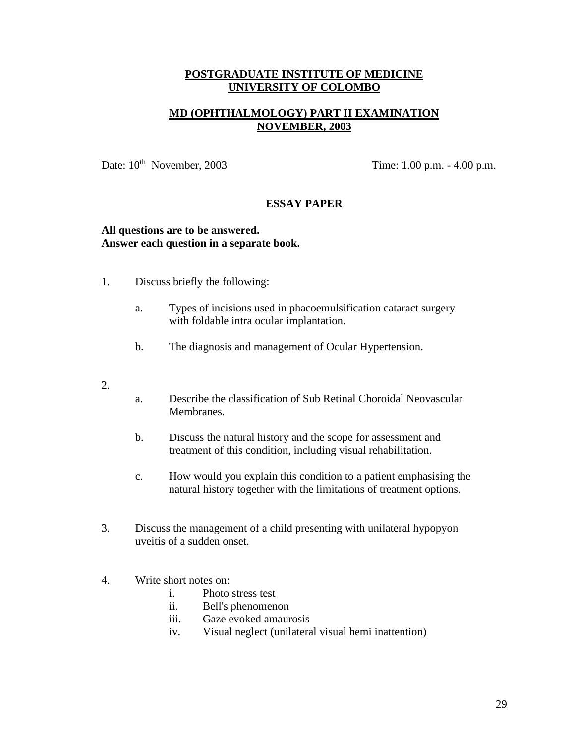# **MD (OPHTHALMOLOGY) PART II EXAMINATION NOVEMBER, 2003**

Date:  $10^{th}$  November, 2003

Time: 1.00 p.m. - 4.00 p.m.

## **ESSAY PAPER**

### **All questions are to be answered. Answer each question in a separate book.**

- 1. Discuss briefly the following:
	- a. Types of incisions used in phacoemulsification cataract surgery with foldable intra ocular implantation.
	- b. The diagnosis and management of Ocular Hypertension.
- 2.
- a. Describe the classification of Sub Retinal Choroidal Neovascular Membranes.
- b. Discuss the natural history and the scope for assessment and treatment of this condition, including visual rehabilitation.
- c. How would you explain this condition to a patient emphasising the natural history together with the limitations of treatment options.
- 3. Discuss the management of a child presenting with unilateral hypopyon uveitis of a sudden onset.
- 4. Write short notes on:
	- i. Photo stress test
	- ii. Bell's phenomenon
	- iii. Gaze evoked amaurosis
	- iv. Visual neglect (unilateral visual hemi inattention)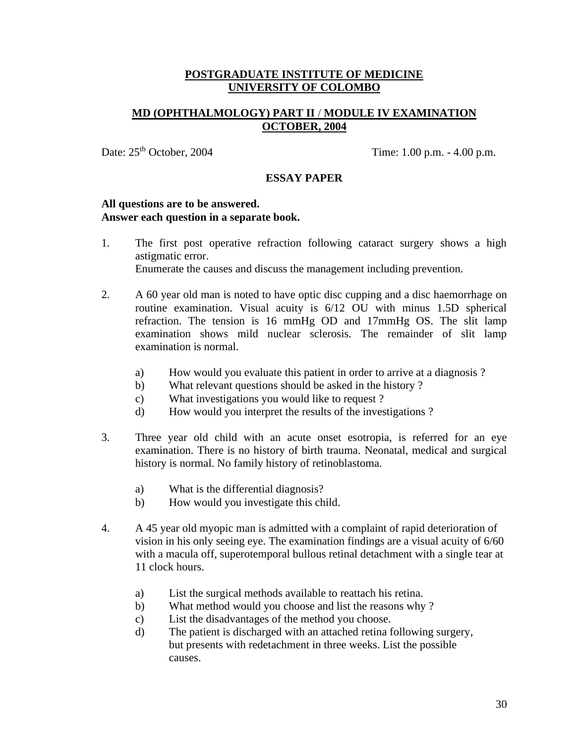# **MD (OPHTHALMOLOGY) PART II** / **MODULE IV EXAMINATION OCTOBER, 2004**

Date:  $25<sup>th</sup> October, 2004$  Time: 1.00 p.m. - 4.00 p.m.

#### **ESSAY PAPER**

#### **All questions are to be answered. Answer each question in a separate book.**

- 1. The first post operative refraction following cataract surgery shows a high astigmatic error. Enumerate the causes and discuss the management including prevention.
- 2. A 60 year old man is noted to have optic disc cupping and a disc haemorrhage on routine examination. Visual acuity is 6/12 OU with minus 1.5D spherical refraction. The tension is 16 mmHg OD and 17mmHg OS. The slit lamp examination shows mild nuclear sclerosis. The remainder of slit lamp examination is normal.
	- a) How would you evaluate this patient in order to arrive at a diagnosis ?
	- b) What relevant questions should be asked in the history ?
	- c) What investigations you would like to request ?
	- d) How would you interpret the results of the investigations ?
- 3. Three year old child with an acute onset esotropia, is referred for an eye examination. There is no history of birth trauma. Neonatal, medical and surgical history is normal. No family history of retinoblastoma.
	- a) What is the differential diagnosis?
	- b) How would you investigate this child.
- 4. A 45 year old myopic man is admitted with a complaint of rapid deterioration of vision in his only seeing eye. The examination findings are a visual acuity of 6/60 with a macula off, superotemporal bullous retinal detachment with a single tear at 11 clock hours.
	- a) List the surgical methods available to reattach his retina.
	- b) What method would you choose and list the reasons why ?
	- c) List the disadvantages of the method you choose.
	- d) The patient is discharged with an attached retina following surgery, but presents with redetachment in three weeks. List the possible causes.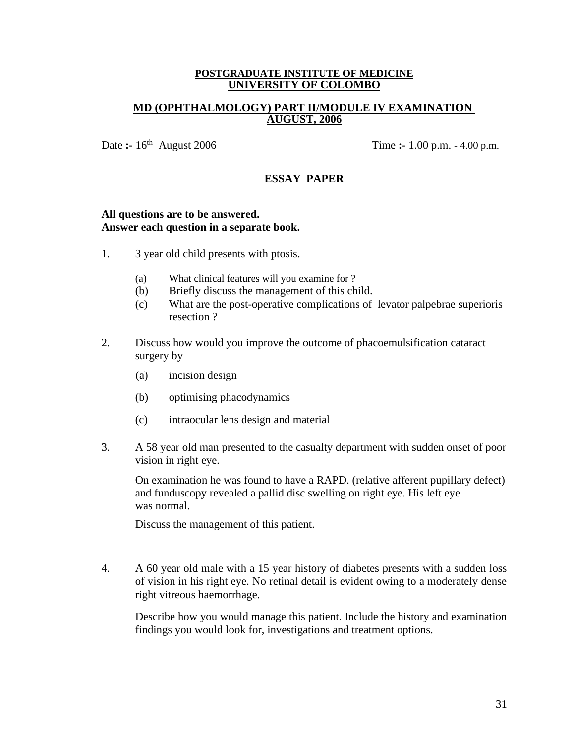### **MD (OPHTHALMOLOGY) PART II/MODULE IV EXAMINATION AUGUST, 2006**

Date **:-** 16<sup>th</sup> August 2006

Time **:-** 1.00 p.m. - 4.00 p.m.

# **ESSAY PAPER**

#### **All questions are to be answered. Answer each question in a separate book.**

- 1. 3 year old child presents with ptosis.
	- (a) What clinical features will you examine for ?
	- (b) Briefly discuss the management of this child.
	- (c) What are the post-operative complications of levator palpebrae superioris resection ?
- 2. Discuss how would you improve the outcome of phacoemulsification cataract surgery by
	- (a) incision design
	- (b) optimising phacodynamics
	- (c) intraocular lens design and material
- 3. A 58 year old man presented to the casualty department with sudden onset of poor vision in right eye.

On examination he was found to have a RAPD. (relative afferent pupillary defect) and funduscopy revealed a pallid disc swelling on right eye. His left eye was normal.

Discuss the management of this patient.

4. A 60 year old male with a 15 year history of diabetes presents with a sudden loss of vision in his right eye. No retinal detail is evident owing to a moderately dense right vitreous haemorrhage.

Describe how you would manage this patient. Include the history and examination findings you would look for, investigations and treatment options.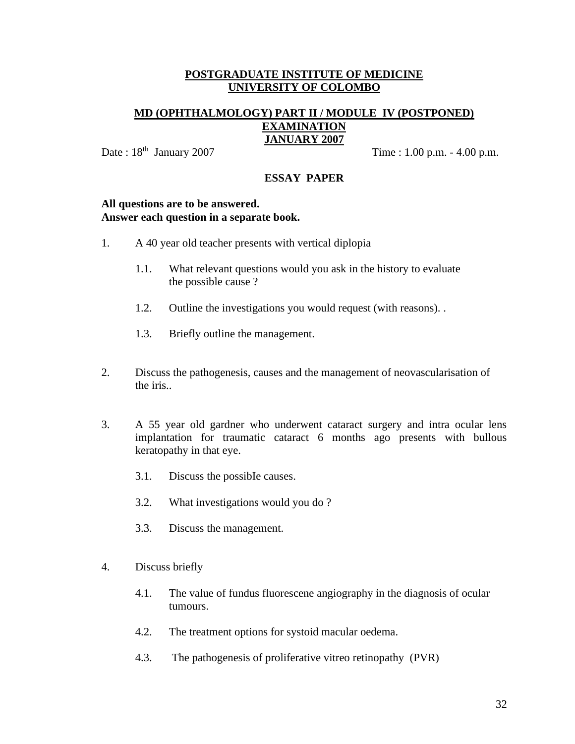## **MD (OPHTHALMOLOGY) PART II / MODULE IV (POSTPONED) EXAMINATION JANUARY 2007**

Date:  $18^{th}$  January 2007

Time :  $1.00$  p.m.  $- 4.00$  p.m.

# **ESSAY PAPER**

#### **All questions are to be answered. Answer each question in a separate book.**

- 1. A 40 year old teacher presents with vertical diplopia
	- 1.1. What relevant questions would you ask in the history to evaluate the possible cause ?
	- 1.2. Outline the investigations you would request (with reasons). .
	- 1.3. Briefly outline the management.
- 2. Discuss the pathogenesis, causes and the management of neovascularisation of the iris..
- 3. A 55 year old gardner who underwent cataract surgery and intra ocular lens implantation for traumatic cataract 6 months ago presents with bullous keratopathy in that eye.
	- 3.1. Discuss the possibIe causes.
	- 3.2. What investigations would you do ?
	- 3.3. Discuss the management.
- 4. Discuss briefly
	- 4.1. The value of fundus fluorescene angiography in the diagnosis of ocular tumours.
	- 4.2. The treatment options for systoid macular oedema.
	- 4.3. The pathogenesis of proliferative vitreo retinopathy (PVR)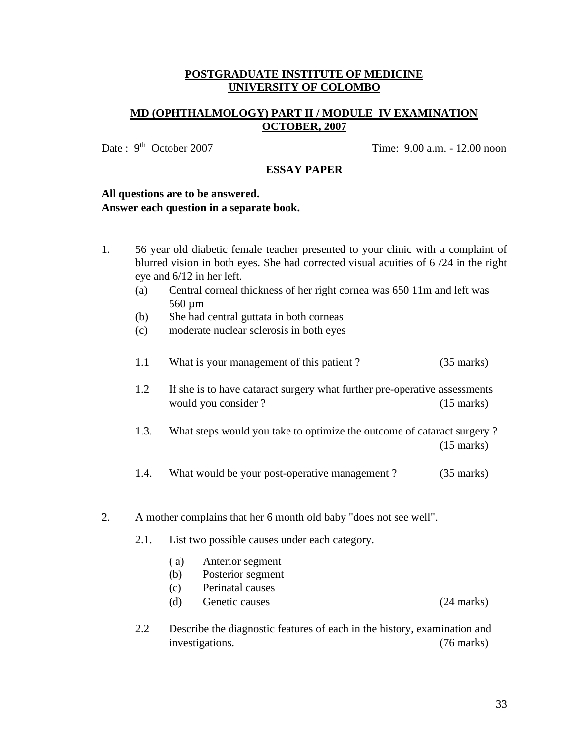# **MD (OPHTHALMOLOGY) PART II / MODULE IV EXAMINATION OCTOBER, 2007**

Date: 9<sup>th</sup> October 2007

Time:  $9.00$  a.m. - 12.00 noon

#### **ESSAY PAPER**

## **All questions are to be answered. Answer each question in a separate book.**

- 1. 56 year old diabetic female teacher presented to your clinic with a complaint of blurred vision in both eyes. She had corrected visual acuities of 6 /24 in the right eye and 6/12 in her left.
	- (a) Central corneal thickness of her right cornea was 650 11m and left was 560 µm
	- (b) She had central guttata in both corneas
	- (c) moderate nuclear sclerosis in both eyes

| 1.1 | What is your management of this patient? | $(35 \text{ marks})$ |
|-----|------------------------------------------|----------------------|
|-----|------------------------------------------|----------------------|

- 1.2 If she is to have cataract surgery what further pre-operative assessments would you consider ? (15 marks)
- 1.3. What steps would you take to optimize the outcome of cataract surgery ? (15 marks)
- 1.4. What would be your post-operative management ? (35 marks)
- 2. A mother complains that her 6 month old baby "does not see well".
	- 2.1. List two possible causes under each category.
		- ( a) Anterior segment
		- (b) Posterior segment
		- (c) Perinatal causes
		- (d) Genetic causes (24 marks)
	- 2.2 Describe the diagnostic features of each in the history, examination and investigations. (76 marks)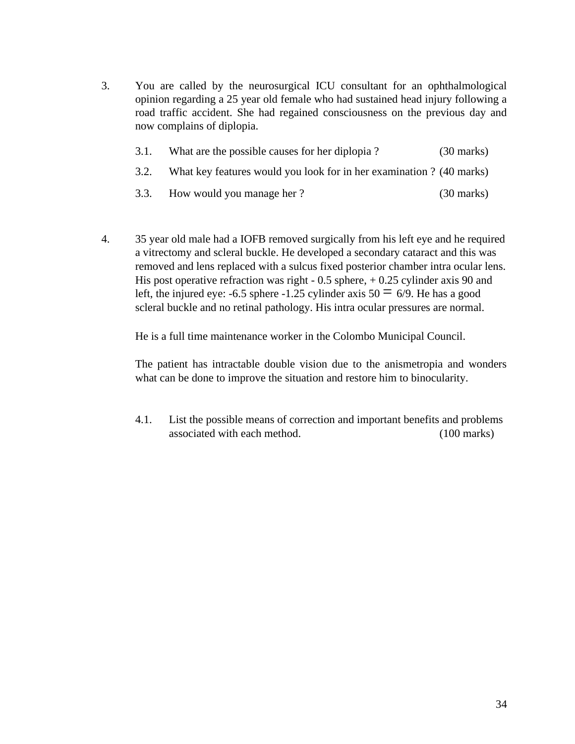3. You are called by the neurosurgical ICU consultant for an ophthalmological opinion regarding a 25 year old female who had sustained head injury following a road traffic accident. She had regained consciousness on the previous day and now complains of diplopia.

| 3.1. | What are the possible causes for her diplopia?                       | $(30 \text{ marks})$ |
|------|----------------------------------------------------------------------|----------------------|
| 3.2. | What key features would you look for in her examination ? (40 marks) |                      |
|      | 3.3. How would you manage her?                                       | $(30 \text{ marks})$ |

4. 35 year old male had a IOFB removed surgically from his left eye and he required a vitrectomy and scleral buckle. He developed a secondary cataract and this was removed and lens replaced with a sulcus fixed posterior chamber intra ocular lens. His post operative refraction was right  $-0.5$  sphere,  $+0.25$  cylinder axis 90 and left, the injured eye: -6.5 sphere -1.25 cylinder axis  $50 = 6/9$ . He has a good scleral buckle and no retinal pathology. His intra ocular pressures are normal.

He is a full time maintenance worker in the Colombo Municipal Council.

The patient has intractable double vision due to the anismetropia and wonders what can be done to improve the situation and restore him to binocularity.

4.1. List the possible means of correction and important benefits and problems associated with each method. (100 marks)